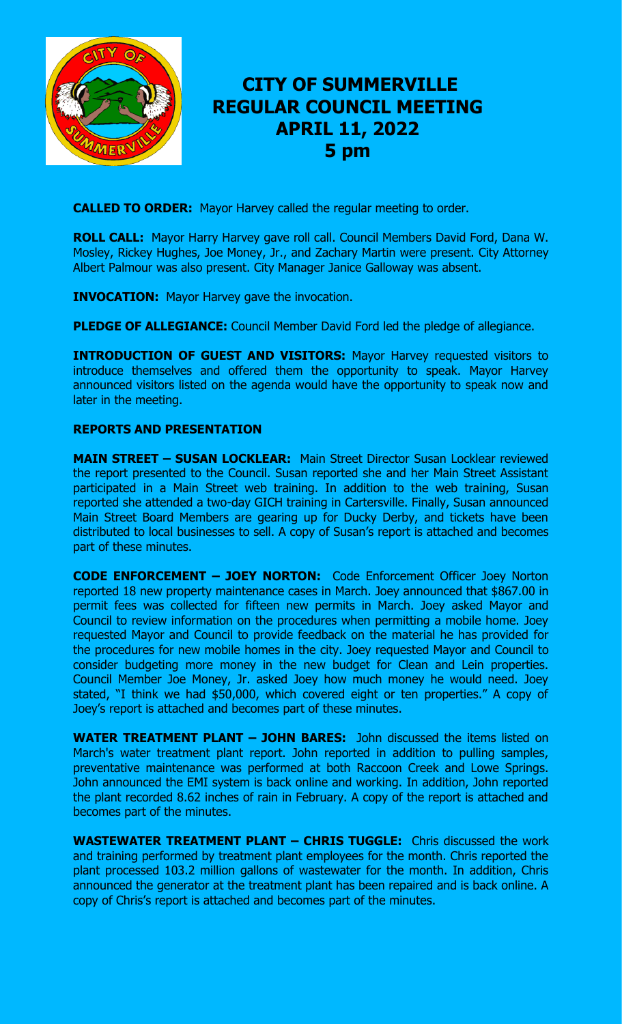

# **CITY OF SUMMERVILLE REGULAR COUNCIL MEETING APRIL 11, 2022 5 pm**

**CALLED TO ORDER:** Mayor Harvey called the regular meeting to order.

**ROLL CALL:** Mayor Harry Harvey gave roll call. Council Members David Ford, Dana W. Mosley, Rickey Hughes, Joe Money, Jr., and Zachary Martin were present. City Attorney Albert Palmour was also present. City Manager Janice Galloway was absent.

**INVOCATION:** Mayor Harvey gave the invocation.

**PLEDGE OF ALLEGIANCE:** Council Member David Ford led the pledge of allegiance.

**INTRODUCTION OF GUEST AND VISITORS: Mayor Harvey requested visitors to** introduce themselves and offered them the opportunity to speak. Mayor Harvey announced visitors listed on the agenda would have the opportunity to speak now and later in the meeting.

## **REPORTS AND PRESENTATION**

**MAIN STREET – SUSAN LOCKLEAR:** Main Street Director Susan Locklear reviewed the report presented to the Council. Susan reported she and her Main Street Assistant participated in a Main Street web training. In addition to the web training, Susan reported she attended a two-day GICH training in Cartersville. Finally, Susan announced Main Street Board Members are gearing up for Ducky Derby, and tickets have been distributed to local businesses to sell. A copy of Susan's report is attached and becomes part of these minutes.

**CODE ENFORCEMENT – JOEY NORTON:** Code Enforcement Officer Joey Norton reported 18 new property maintenance cases in March. Joey announced that \$867.00 in permit fees was collected for fifteen new permits in March. Joey asked Mayor and Council to review information on the procedures when permitting a mobile home. Joey requested Mayor and Council to provide feedback on the material he has provided for the procedures for new mobile homes in the city. Joey requested Mayor and Council to consider budgeting more money in the new budget for Clean and Lein properties. Council Member Joe Money, Jr. asked Joey how much money he would need. Joey stated, "I think we had \$50,000, which covered eight or ten properties." A copy of Joey's report is attached and becomes part of these minutes.

**WATER TREATMENT PLANT – JOHN BARES:** John discussed the items listed on March's water treatment plant report. John reported in addition to pulling samples, preventative maintenance was performed at both Raccoon Creek and Lowe Springs. John announced the EMI system is back online and working. In addition, John reported the plant recorded 8.62 inches of rain in February. A copy of the report is attached and becomes part of the minutes.

**WASTEWATER TREATMENT PLANT – CHRIS TUGGLE:** Chris discussed the work and training performed by treatment plant employees for the month. Chris reported the plant processed 103.2 million gallons of wastewater for the month. In addition, Chris announced the generator at the treatment plant has been repaired and is back online. A copy of Chris's report is attached and becomes part of the minutes.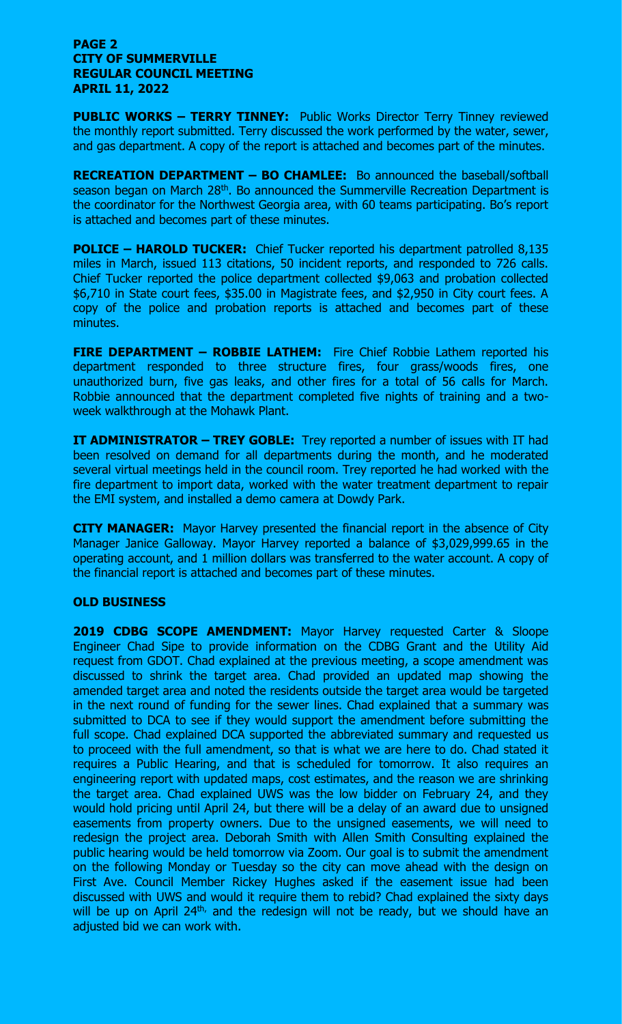#### **PAGE 2 CITY OF SUMMERVILLE REGULAR COUNCIL MEETING APRIL 11, 2022**

**PUBLIC WORKS – TERRY TINNEY:** Public Works Director Terry Tinney reviewed the monthly report submitted. Terry discussed the work performed by the water, sewer, and gas department. A copy of the report is attached and becomes part of the minutes.

**RECREATION DEPARTMENT – BO CHAMLEE:** Bo announced the baseball/softball season began on March 28<sup>th</sup>. Bo announced the Summerville Recreation Department is the coordinator for the Northwest Georgia area, with 60 teams participating. Bo's report is attached and becomes part of these minutes.

**POLICE – HAROLD TUCKER:** Chief Tucker reported his department patrolled 8,135 miles in March, issued 113 citations, 50 incident reports, and responded to 726 calls. Chief Tucker reported the police department collected \$9,063 and probation collected \$6,710 in State court fees, \$35.00 in Magistrate fees, and \$2,950 in City court fees. A copy of the police and probation reports is attached and becomes part of these minutes.

**FIRE DEPARTMENT – ROBBIE LATHEM:** Fire Chief Robbie Lathem reported his department responded to three structure fires, four grass/woods fires, one unauthorized burn, five gas leaks, and other fires for a total of 56 calls for March. Robbie announced that the department completed five nights of training and a twoweek walkthrough at the Mohawk Plant.

**IT ADMINISTRATOR – TREY GOBLE:** Trey reported a number of issues with IT had been resolved on demand for all departments during the month, and he moderated several virtual meetings held in the council room. Trey reported he had worked with the fire department to import data, worked with the water treatment department to repair the EMI system, and installed a demo camera at Dowdy Park.

**CITY MANAGER:** Mayor Harvey presented the financial report in the absence of City Manager Janice Galloway. Mayor Harvey reported a balance of \$3,029,999.65 in the operating account, and 1 million dollars was transferred to the water account. A copy of the financial report is attached and becomes part of these minutes.

### **OLD BUSINESS**

**2019 CDBG SCOPE AMENDMENT:** Mayor Harvey requested Carter & Sloope Engineer Chad Sipe to provide information on the CDBG Grant and the Utility Aid request from GDOT. Chad explained at the previous meeting, a scope amendment was discussed to shrink the target area. Chad provided an updated map showing the amended target area and noted the residents outside the target area would be targeted in the next round of funding for the sewer lines. Chad explained that a summary was submitted to DCA to see if they would support the amendment before submitting the full scope. Chad explained DCA supported the abbreviated summary and requested us to proceed with the full amendment, so that is what we are here to do. Chad stated it requires a Public Hearing, and that is scheduled for tomorrow. It also requires an engineering report with updated maps, cost estimates, and the reason we are shrinking the target area. Chad explained UWS was the low bidder on February 24, and they would hold pricing until April 24, but there will be a delay of an award due to unsigned easements from property owners. Due to the unsigned easements, we will need to redesign the project area. Deborah Smith with Allen Smith Consulting explained the public hearing would be held tomorrow via Zoom. Our goal is to submit the amendment on the following Monday or Tuesday so the city can move ahead with the design on First Ave. Council Member Rickey Hughes asked if the easement issue had been discussed with UWS and would it require them to rebid? Chad explained the sixty days will be up on April  $24<sup>th</sup>$ , and the redesign will not be ready, but we should have an adjusted bid we can work with.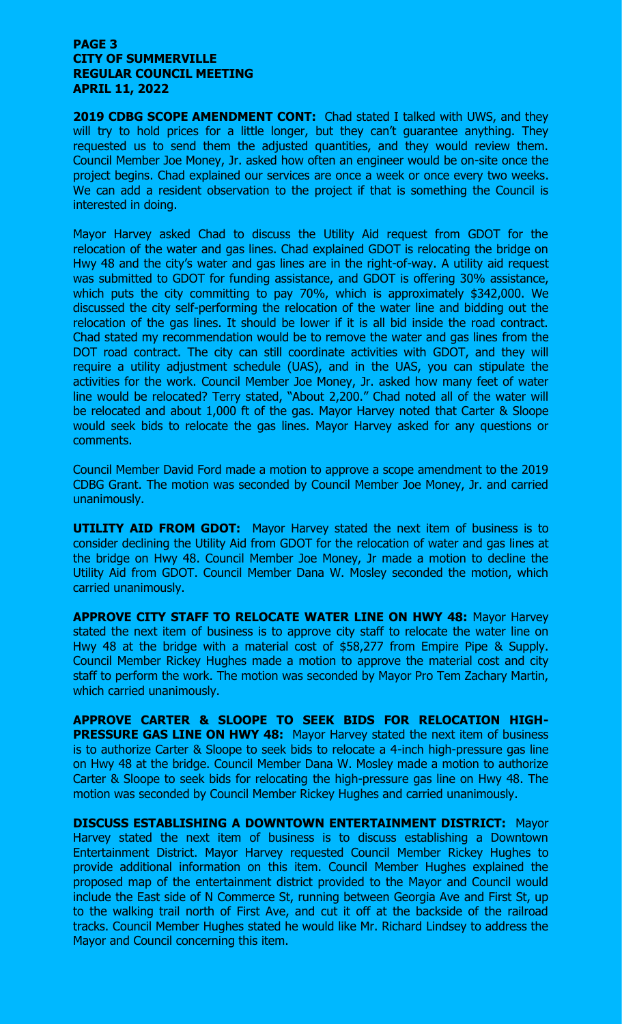#### **PAGE 3 CITY OF SUMMERVILLE REGULAR COUNCIL MEETING APRIL 11, 2022**

**2019 CDBG SCOPE AMENDMENT CONT:** Chad stated I talked with UWS, and they will try to hold prices for a little longer, but they can't guarantee anything. They requested us to send them the adjusted quantities, and they would review them. Council Member Joe Money, Jr. asked how often an engineer would be on-site once the project begins. Chad explained our services are once a week or once every two weeks. We can add a resident observation to the project if that is something the Council is interested in doing.

Mayor Harvey asked Chad to discuss the Utility Aid request from GDOT for the relocation of the water and gas lines. Chad explained GDOT is relocating the bridge on Hwy 48 and the city's water and gas lines are in the right-of-way. A utility aid request was submitted to GDOT for funding assistance, and GDOT is offering 30% assistance, which puts the city committing to pay 70%, which is approximately \$342,000. We discussed the city self-performing the relocation of the water line and bidding out the relocation of the gas lines. It should be lower if it is all bid inside the road contract. Chad stated my recommendation would be to remove the water and gas lines from the DOT road contract. The city can still coordinate activities with GDOT, and they will require a utility adjustment schedule (UAS), and in the UAS, you can stipulate the activities for the work. Council Member Joe Money, Jr. asked how many feet of water line would be relocated? Terry stated, "About 2,200." Chad noted all of the water will be relocated and about 1,000 ft of the gas. Mayor Harvey noted that Carter & Sloope would seek bids to relocate the gas lines. Mayor Harvey asked for any questions or comments.

Council Member David Ford made a motion to approve a scope amendment to the 2019 CDBG Grant. The motion was seconded by Council Member Joe Money, Jr. and carried unanimously.

**UTILITY AID FROM GDOT:** Mayor Harvey stated the next item of business is to consider declining the Utility Aid from GDOT for the relocation of water and gas lines at the bridge on Hwy 48. Council Member Joe Money, Jr made a motion to decline the Utility Aid from GDOT. Council Member Dana W. Mosley seconded the motion, which carried unanimously.

**APPROVE CITY STAFF TO RELOCATE WATER LINE ON HWY 48:** Mayor Harvey stated the next item of business is to approve city staff to relocate the water line on Hwy 48 at the bridge with a material cost of \$58,277 from Empire Pipe & Supply. Council Member Rickey Hughes made a motion to approve the material cost and city staff to perform the work. The motion was seconded by Mayor Pro Tem Zachary Martin, which carried unanimously.

**APPROVE CARTER & SLOOPE TO SEEK BIDS FOR RELOCATION HIGH-PRESSURE GAS LINE ON HWY 48: Mayor Harvey stated the next item of business** is to authorize Carter & Sloope to seek bids to relocate a 4-inch high-pressure gas line on Hwy 48 at the bridge. Council Member Dana W. Mosley made a motion to authorize Carter & Sloope to seek bids for relocating the high-pressure gas line on Hwy 48. The motion was seconded by Council Member Rickey Hughes and carried unanimously.

**DISCUSS ESTABLISHING A DOWNTOWN ENTERTAINMENT DISTRICT:** Mayor Harvey stated the next item of business is to discuss establishing a Downtown Entertainment District. Mayor Harvey requested Council Member Rickey Hughes to provide additional information on this item. Council Member Hughes explained the proposed map of the entertainment district provided to the Mayor and Council would include the East side of N Commerce St, running between Georgia Ave and First St, up to the walking trail north of First Ave, and cut it off at the backside of the railroad tracks. Council Member Hughes stated he would like Mr. Richard Lindsey to address the Mayor and Council concerning this item.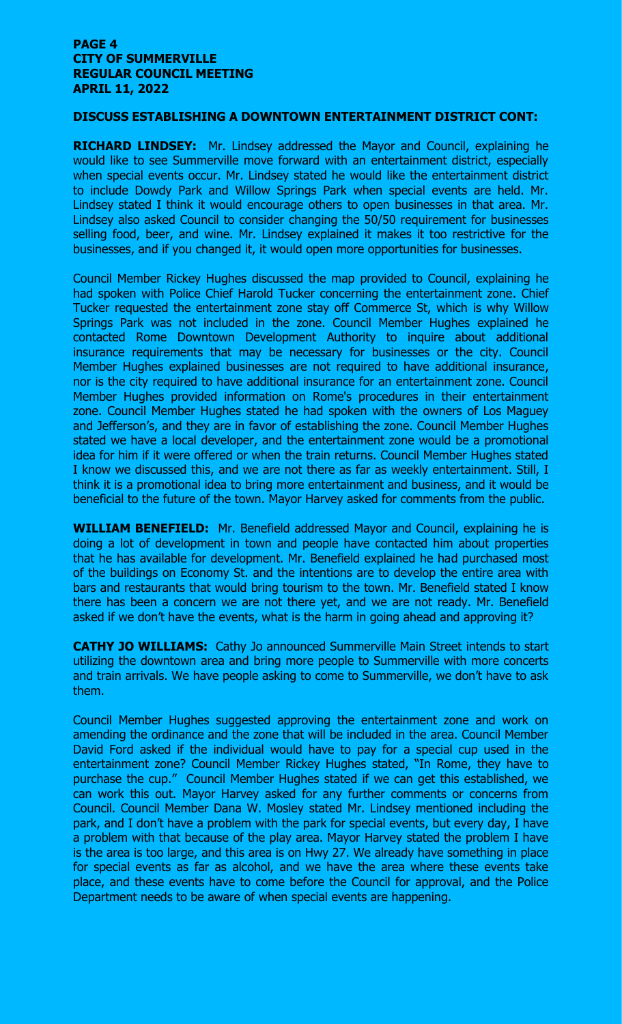#### **PAGE 4 CITY OF SUMMERVILLE REGULAR COUNCIL MEETING APRIL 11, 2022**

#### **DISCUSS ESTABLISHING A DOWNTOWN ENTERTAINMENT DISTRICT CONT:**

**RICHARD LINDSEY:** Mr. Lindsey addressed the Mayor and Council, explaining he would like to see Summerville move forward with an entertainment district, especially when special events occur. Mr. Lindsey stated he would like the entertainment district to include Dowdy Park and Willow Springs Park when special events are held. Mr. Lindsey stated I think it would encourage others to open businesses in that area. Mr. Lindsey also asked Council to consider changing the 50/50 requirement for businesses selling food, beer, and wine. Mr. Lindsey explained it makes it too restrictive for the businesses, and if you changed it, it would open more opportunities for businesses.

Council Member Rickey Hughes discussed the map provided to Council, explaining he had spoken with Police Chief Harold Tucker concerning the entertainment zone. Chief Tucker requested the entertainment zone stay off Commerce St, which is why Willow Springs Park was not included in the zone. Council Member Hughes explained he contacted Rome Downtown Development Authority to inquire about additional insurance requirements that may be necessary for businesses or the city. Council Member Hughes explained businesses are not required to have additional insurance, nor is the city required to have additional insurance for an entertainment zone. Council Member Hughes provided information on Rome's procedures in their entertainment zone. Council Member Hughes stated he had spoken with the owners of Los Maguey and Jefferson's, and they are in favor of establishing the zone. Council Member Hughes stated we have a local developer, and the entertainment zone would be a promotional idea for him if it were offered or when the train returns. Council Member Hughes stated I know we discussed this, and we are not there as far as weekly entertainment. Still, I think it is a promotional idea to bring more entertainment and business, and it would be beneficial to the future of the town. Mayor Harvey asked for comments from the public.

**WILLIAM BENEFIELD:** Mr. Benefield addressed Mayor and Council, explaining he is doing a lot of development in town and people have contacted him about properties that he has available for development. Mr. Benefield explained he had purchased most of the buildings on Economy St. and the intentions are to develop the entire area with bars and restaurants that would bring tourism to the town. Mr. Benefield stated I know there has been a concern we are not there yet, and we are not ready. Mr. Benefield asked if we don't have the events, what is the harm in going ahead and approving it?

**CATHY JO WILLIAMS:** Cathy Jo announced Summerville Main Street intends to start utilizing the downtown area and bring more people to Summerville with more concerts and train arrivals. We have people asking to come to Summerville, we don't have to ask them.

Council Member Hughes suggested approving the entertainment zone and work on amending the ordinance and the zone that will be included in the area. Council Member David Ford asked if the individual would have to pay for a special cup used in the entertainment zone? Council Member Rickey Hughes stated, "In Rome, they have to purchase the cup." Council Member Hughes stated if we can get this established, we can work this out. Mayor Harvey asked for any further comments or concerns from Council. Council Member Dana W. Mosley stated Mr. Lindsey mentioned including the park, and I don't have a problem with the park for special events, but every day, I have a problem with that because of the play area. Mayor Harvey stated the problem I have is the area is too large, and this area is on Hwy 27. We already have something in place for special events as far as alcohol, and we have the area where these events take place, and these events have to come before the Council for approval, and the Police Department needs to be aware of when special events are happening.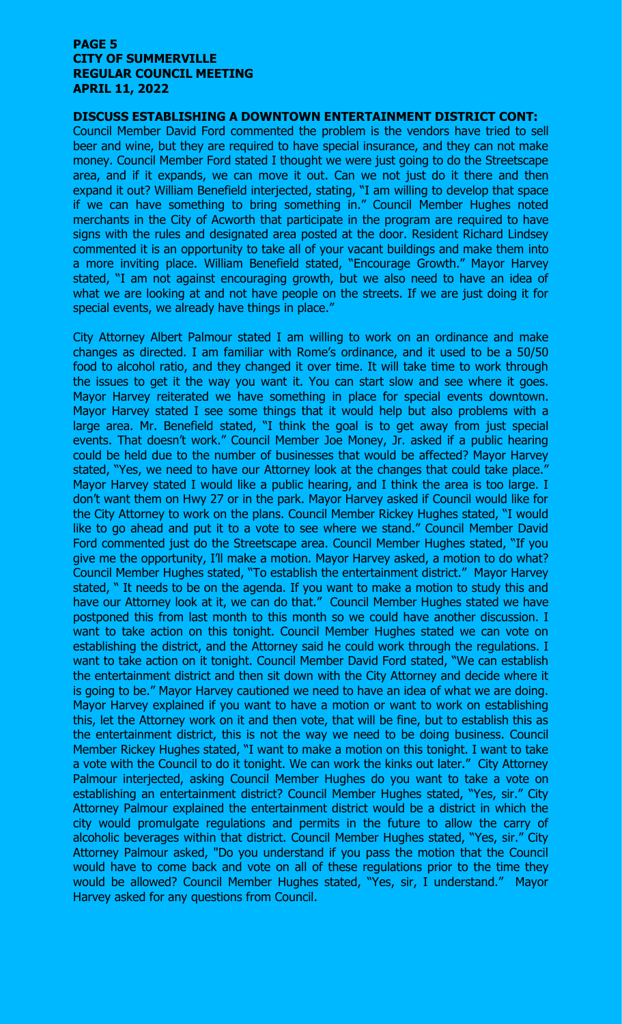#### **PAGE 5 CITY OF SUMMERVILLE REGULAR COUNCIL MEETING APRIL 11, 2022**

# **DISCUSS ESTABLISHING A DOWNTOWN ENTERTAINMENT DISTRICT CONT:**

Council Member David Ford commented the problem is the vendors have tried to sell beer and wine, but they are required to have special insurance, and they can not make money. Council Member Ford stated I thought we were just going to do the Streetscape area, and if it expands, we can move it out. Can we not just do it there and then expand it out? William Benefield interjected, stating, "I am willing to develop that space if we can have something to bring something in." Council Member Hughes noted merchants in the City of Acworth that participate in the program are required to have signs with the rules and designated area posted at the door. Resident Richard Lindsey commented it is an opportunity to take all of your vacant buildings and make them into a more inviting place. William Benefield stated, "Encourage Growth." Mayor Harvey stated, "I am not against encouraging growth, but we also need to have an idea of what we are looking at and not have people on the streets. If we are just doing it for special events, we already have things in place."

City Attorney Albert Palmour stated I am willing to work on an ordinance and make changes as directed. I am familiar with Rome's ordinance, and it used to be a 50/50 food to alcohol ratio, and they changed it over time. It will take time to work through the issues to get it the way you want it. You can start slow and see where it goes. Mayor Harvey reiterated we have something in place for special events downtown. Mayor Harvey stated I see some things that it would help but also problems with a large area. Mr. Benefield stated, "I think the goal is to get away from just special events. That doesn't work." Council Member Joe Money, Jr. asked if a public hearing could be held due to the number of businesses that would be affected? Mayor Harvey stated, "Yes, we need to have our Attorney look at the changes that could take place." Mayor Harvey stated I would like a public hearing, and I think the area is too large. I don't want them on Hwy 27 or in the park. Mayor Harvey asked if Council would like for the City Attorney to work on the plans. Council Member Rickey Hughes stated, "I would like to go ahead and put it to a vote to see where we stand." Council Member David Ford commented just do the Streetscape area. Council Member Hughes stated, "If you give me the opportunity, I'll make a motion. Mayor Harvey asked, a motion to do what? Council Member Hughes stated, "To establish the entertainment district." Mayor Harvey stated, " It needs to be on the agenda. If you want to make a motion to study this and have our Attorney look at it, we can do that." Council Member Hughes stated we have postponed this from last month to this month so we could have another discussion. I want to take action on this tonight. Council Member Hughes stated we can vote on establishing the district, and the Attorney said he could work through the regulations. I want to take action on it tonight. Council Member David Ford stated, "We can establish the entertainment district and then sit down with the City Attorney and decide where it is going to be." Mayor Harvey cautioned we need to have an idea of what we are doing. Mayor Harvey explained if you want to have a motion or want to work on establishing this, let the Attorney work on it and then vote, that will be fine, but to establish this as the entertainment district, this is not the way we need to be doing business. Council Member Rickey Hughes stated, "I want to make a motion on this tonight. I want to take a vote with the Council to do it tonight. We can work the kinks out later." City Attorney Palmour interjected, asking Council Member Hughes do you want to take a vote on establishing an entertainment district? Council Member Hughes stated, "Yes, sir." City Attorney Palmour explained the entertainment district would be a district in which the city would promulgate regulations and permits in the future to allow the carry of alcoholic beverages within that district. Council Member Hughes stated, "Yes, sir." City Attorney Palmour asked, "Do you understand if you pass the motion that the Council would have to come back and vote on all of these regulations prior to the time they would be allowed? Council Member Hughes stated, "Yes, sir, I understand." Mayor Harvey asked for any questions from Council.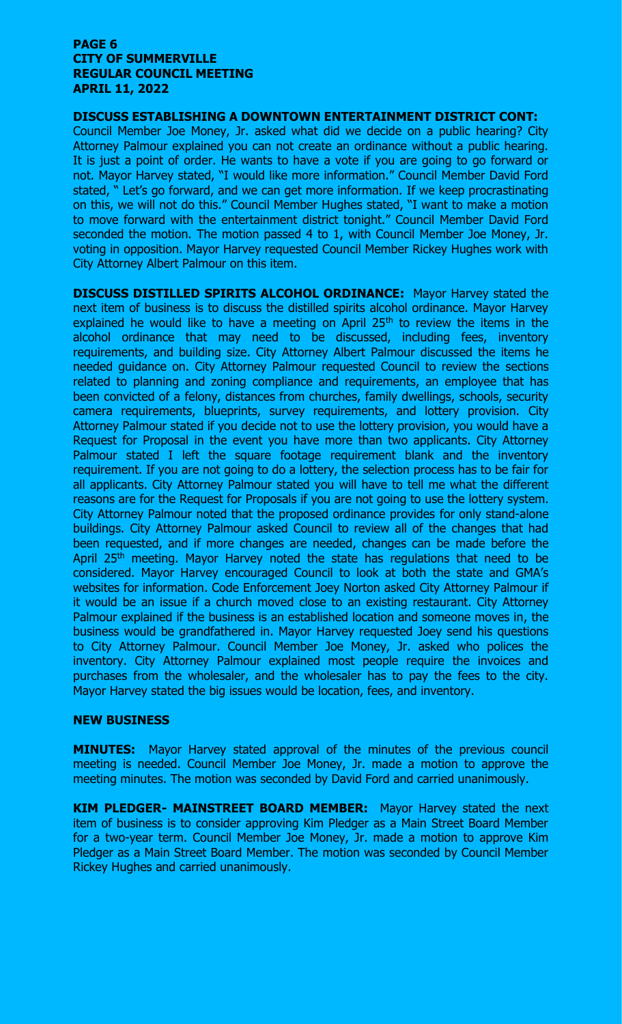#### **PAGE 6 CITY OF SUMMERVILLE REGULAR COUNCIL MEETING APRIL 11, 2022**

#### **DISCUSS ESTABLISHING A DOWNTOWN ENTERTAINMENT DISTRICT CONT:**

Council Member Joe Money, Jr. asked what did we decide on a public hearing? City Attorney Palmour explained you can not create an ordinance without a public hearing. It is just a point of order. He wants to have a vote if you are going to go forward or not. Mayor Harvey stated, "I would like more information." Council Member David Ford stated, " Let's go forward, and we can get more information. If we keep procrastinating on this, we will not do this." Council Member Hughes stated, "I want to make a motion to move forward with the entertainment district tonight." Council Member David Ford seconded the motion. The motion passed 4 to 1, with Council Member Joe Money, Jr. voting in opposition. Mayor Harvey requested Council Member Rickey Hughes work with City Attorney Albert Palmour on this item.

**DISCUSS DISTILLED SPIRITS ALCOHOL ORDINANCE:** Mayor Harvey stated the next item of business is to discuss the distilled spirits alcohol ordinance. Mayor Harvey explained he would like to have a meeting on April  $25<sup>th</sup>$  to review the items in the alcohol ordinance that may need to be discussed, including fees, inventory requirements, and building size. City Attorney Albert Palmour discussed the items he needed guidance on. City Attorney Palmour requested Council to review the sections related to planning and zoning compliance and requirements, an employee that has been convicted of a felony, distances from churches, family dwellings, schools, security camera requirements, blueprints, survey requirements, and lottery provision. City Attorney Palmour stated if you decide not to use the lottery provision, you would have a Request for Proposal in the event you have more than two applicants. City Attorney Palmour stated I left the square footage requirement blank and the inventory requirement. If you are not going to do a lottery, the selection process has to be fair for all applicants. City Attorney Palmour stated you will have to tell me what the different reasons are for the Request for Proposals if you are not going to use the lottery system. City Attorney Palmour noted that the proposed ordinance provides for only stand-alone buildings. City Attorney Palmour asked Council to review all of the changes that had been requested, and if more changes are needed, changes can be made before the April 25<sup>th</sup> meeting. Mayor Harvey noted the state has regulations that need to be considered. Mayor Harvey encouraged Council to look at both the state and GMA's websites for information. Code Enforcement Joey Norton asked City Attorney Palmour if it would be an issue if a church moved close to an existing restaurant. City Attorney Palmour explained if the business is an established location and someone moves in, the business would be grandfathered in. Mayor Harvey requested Joey send his questions to City Attorney Palmour. Council Member Joe Money, Jr. asked who polices the inventory. City Attorney Palmour explained most people require the invoices and purchases from the wholesaler, and the wholesaler has to pay the fees to the city. Mayor Harvey stated the big issues would be location, fees, and inventory.

#### **NEW BUSINESS**

**MINUTES:** Mayor Harvey stated approval of the minutes of the previous council meeting is needed. Council Member Joe Money, Jr. made a motion to approve the meeting minutes. The motion was seconded by David Ford and carried unanimously.

**KIM PLEDGER- MAINSTREET BOARD MEMBER:** Mayor Harvey stated the next item of business is to consider approving Kim Pledger as a Main Street Board Member for a two-year term. Council Member Joe Money, Jr. made a motion to approve Kim Pledger as a Main Street Board Member. The motion was seconded by Council Member Rickey Hughes and carried unanimously.